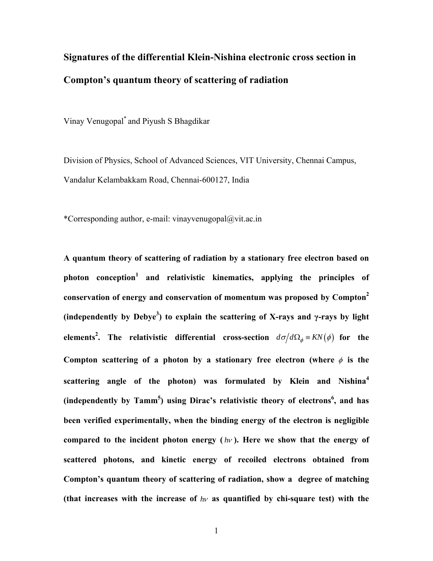# **Signatures of the differential Klein-Nishina electronic cross section in Compton's quantum theory of scattering of radiation**

Vinay Venugopal\* and Piyush S Bhagdikar

Division of Physics, School of Advanced Sciences, VIT University, Chennai Campus, Vandalur Kelambakkam Road, Chennai-600127, India

\*Corresponding author, e-mail: vinayvenugopal@vit.ac.in

**A quantum theory of scattering of radiation by a stationary free electron based on photon conception<sup>1</sup> and relativistic kinematics, applying the principles of conservation of energy and conservation of momentum was proposed by Compton2 (independently by Debye<sup>3</sup> ) to explain the scattering of X-rays and γ-rays by light elements<sup>2</sup>.** The relativistic differential cross-section  $d\sigma/d\Omega_{\phi} = KN(\phi)$  for the Compton scattering of a photon by a stationary free electron (where  $\phi$  is the **scattering angle of the photon) was formulated by Klein and Nishina<sup>4</sup>** (independently by Tamm<sup>5</sup>) using Dirac's relativistic theory of electrons<sup>6</sup>, and has **been verified experimentally, when the binding energy of the electron is negligible compared to the incident photon energy (** *h*<sup>ν</sup> **). Here we show that the energy of scattered photons, and kinetic energy of recoiled electrons obtained from Compton's quantum theory of scattering of radiation, show a degree of matching (that increases with the increase of** *h*ν **as quantified by chi-square test) with the**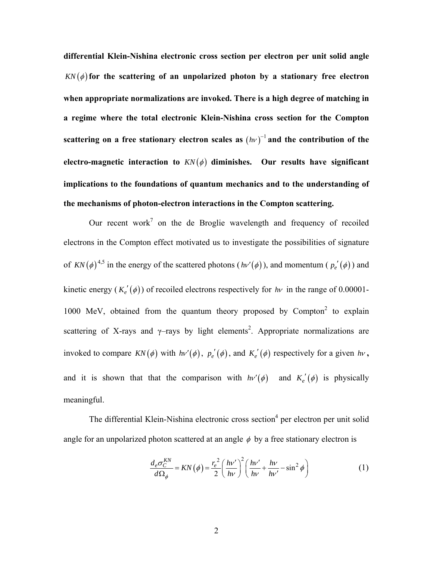**differential Klein-Nishina electronic cross section per electron per unit solid angle**   $KN(\phi)$  for the scattering of an unpolarized photon by a stationary free electron **when appropriate normalizations are invoked. There is a high degree of matching in a regime where the total electronic Klein-Nishina cross section for the Compton**  scattering on a free stationary electron scales as  $(hv)^{-1}$  and the contribution of the electro-magnetic interaction to  $KN(\phi)$  diminishes. Our results have significant **implications to the foundations of quantum mechanics and to the understanding of the mechanisms of photon-electron interactions in the Compton scattering.** 

Our recent work<sup>7</sup> on the de Broglie wavelength and frequency of recoiled electrons in the Compton effect motivated us to investigate the possibilities of signature of  $KN(\phi)^{4,5}$  in the energy of the scattered photons  $(hv'(\phi))$ , and momentum ( $p_e'(\phi)$ ) and kinetic energy  $(K_e'(\phi))$  of recoiled electrons respectively for *hv* in the range of 0.00001-1000 MeV, obtained from the quantum theory proposed by  $Compton<sup>2</sup>$  to explain scattering of X-rays and  $\gamma$ -rays by light elements<sup>2</sup>. Appropriate normalizations are invoked to compare  $KN(\phi)$  with  $h\nu'(\phi)$ ,  $p_e'(\phi)$ , and  $K_e'(\phi)$  respectively for a given  $h\nu$ , and it is shown that that the comparison with  $h\nu'(\phi)$  and  $K_e'(\phi)$  is physically meaningful.

The differential Klein-Nishina electronic cross section<sup>4</sup> per electron per unit solid angle for an unpolarized photon scattered at an angle  $\phi$  by a free stationary electron is

$$
\frac{d_e \sigma_C^{KN}}{d\Omega_\phi} = KN(\phi) = \frac{r_e^2}{2} \left(\frac{h\nu'}{h\nu}\right)^2 \left(\frac{h\nu'}{h\nu} + \frac{h\nu}{h\nu'} - \sin^2\phi\right)
$$
(1)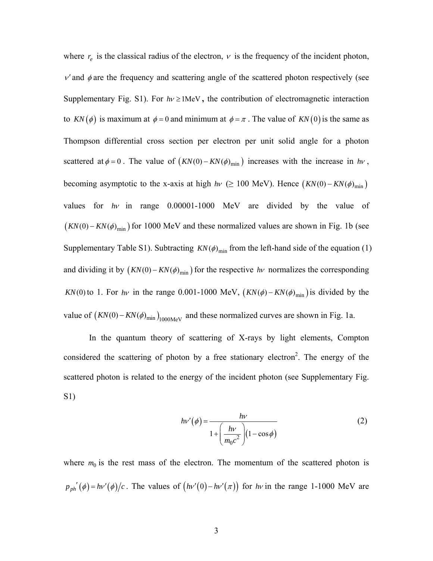where  $r_e$  is the classical radius of the electron,  $v$  is the frequency of the incident photon,  $v'$  and  $\phi$  are the frequency and scattering angle of the scattered photon respectively (see Supplementary Fig. S1). For  $h\nu \ge 1$ MeV, the contribution of electromagnetic interaction to  $KN(\phi)$  is maximum at  $\phi = 0$  and minimum at  $\phi = \pi$ . The value of  $KN(0)$  is the same as Thompson differential cross section per electron per unit solid angle for a photon scattered at  $\phi = 0$ . The value of  $(KN(0) - KN(\phi)_{\text{min}})$  increases with the increase in *hv*, becoming asymptotic to the x-axis at high  $h\nu$  ( $\geq 100 \text{ MeV}$ ). Hence  $(KN(0) - KN(\phi)_{\text{min}})$ values for *h*<sup>ν</sup> in range 0.00001-1000 MeV are divided by the value of  $(KN(0) - KN(\phi)_{\text{min}})$  for 1000 MeV and these normalized values are shown in Fig. 1b (see Supplementary Table S1). Subtracting  $KN(\phi)_{\text{min}}$  from the left-hand side of the equation (1) and dividing it by  $(KN(0) - KN(\phi)_{\text{min}})$  for the respective *hv* normalizes the corresponding *KN*(0) to 1. For *hv* in the range 0.001-1000 MeV,  $(KN(\phi) - KN(\phi)_{\text{min}})$  is divided by the value of  $(KN(0) - KN(\phi)_{min})_{1000\text{MeV}}$  and these normalized curves are shown in Fig. 1a.

In the quantum theory of scattering of X-rays by light elements, Compton considered the scattering of photon by a free stationary electron<sup>2</sup>. The energy of the scattered photon is related to the energy of the incident photon (see Supplementary Fig. S1)

$$
h\nu'(\phi) = \frac{h\nu}{1 + \left(\frac{h\nu}{m_0 c^2}\right) (1 - \cos\phi)}
$$
(2)

where  $m_0$  is the rest mass of the electron. The momentum of the scattered photon is  $p_{ph}'(\phi) = hv'(\phi)/c$ . The values of  $(hv'(0) - hv'(\pi))$  for *hv* in the range 1-1000 MeV are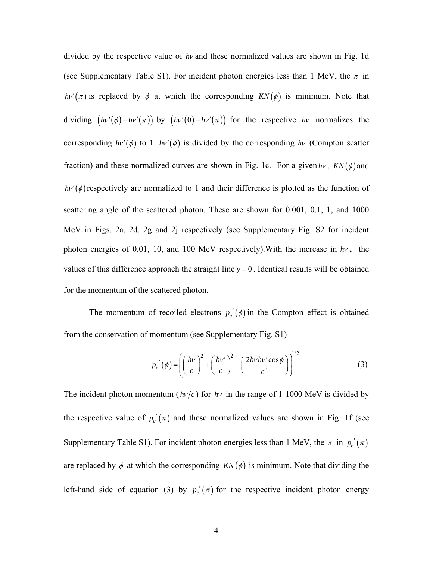divided by the respective value of *h*<sup>ν</sup> and these normalized values are shown in Fig. 1d (see Supplementary Table S1). For incident photon energies less than 1 MeV, the  $\pi$  in *hv'*( $\pi$ ) is replaced by  $\phi$  at which the corresponding *KN*( $\phi$ ) is minimum. Note that dividing  $(hv'(\phi) - hv'(\pi))$  by  $(hv'(0) - hv'(\pi))$  for the respective *hv* normalizes the corresponding  $h\nu'(\phi)$  to 1.  $h\nu'(\phi)$  is divided by the corresponding  $h\nu$  (Compton scatter fraction) and these normalized curves are shown in Fig. 1c. For a given  $h\nu$ ,  $KN(\phi)$  and  $h\nu'(\phi)$  respectively are normalized to 1 and their difference is plotted as the function of scattering angle of the scattered photon. These are shown for 0.001, 0.1, 1, and 1000 MeV in Figs. 2a, 2d, 2g and 2j respectively (see Supplementary Fig. S2 for incident photon energies of 0.01, 10, and 100 MeV respectively).With the increase in *h*<sup>ν</sup> **,** the values of this difference approach the straight line  $y = 0$ . Identical results will be obtained for the momentum of the scattered photon.

The momentum of recoiled electrons  $p'_e(\phi)$  in the Compton effect is obtained from the conservation of momentum (see Supplementary Fig. S1)

$$
p_e'(\phi) = \left( \left( \frac{h\nu}{c} \right)^2 + \left( \frac{h\nu'}{c} \right)^2 - \left( \frac{2h\nu h\nu' \cos\phi}{c^2} \right) \right)^{1/2}
$$
 (3)

The incident photon momentum ( $h\nu/c$ ) for  $h\nu$  in the range of 1-1000 MeV is divided by the respective value of  $p_e'(\pi)$  and these normalized values are shown in Fig. 1f (see Supplementary Table S1). For incident photon energies less than 1 MeV, the  $\pi$  in  $p_e'(\pi)$ are replaced by  $\phi$  at which the corresponding  $KN(\phi)$  is minimum. Note that dividing the left-hand side of equation (3) by  $p_e'(\pi)$  for the respective incident photon energy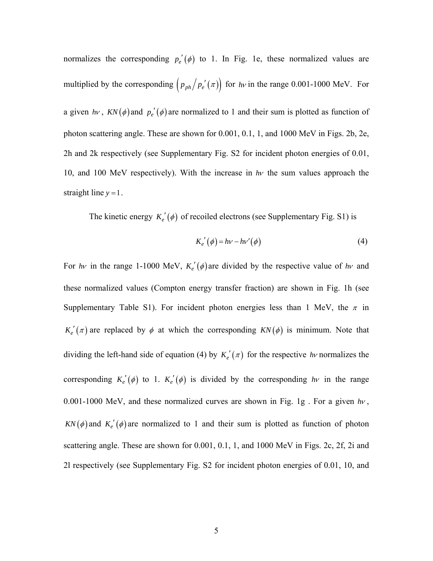normalizes the corresponding  $p_e'(\phi)$  to 1. In Fig. 1e, these normalized values are multiplied by the corresponding  $\left( p_{ph} / p_e'(\pi) \right)$  for *hv* in the range 0.001-1000 MeV. For a given *hv*,  $KN(\phi)$  and  $p'_e(\phi)$  are normalized to 1 and their sum is plotted as function of photon scattering angle. These are shown for 0.001, 0.1, 1, and 1000 MeV in Figs. 2b, 2e, 2h and 2k respectively (see Supplementary Fig. S2 for incident photon energies of 0.01, 10, and 100 MeV respectively). With the increase in *h*<sup>ν</sup> the sum values approach the straight line  $y = 1$ .

The kinetic energy  $K_e'(\phi)$  of recoiled electrons (see Supplementary Fig. S1) is

$$
K_e'(\phi) = h\nu - h\nu'(\phi)
$$
 (4)

For *hv* in the range 1-1000 MeV,  $K_e'(\phi)$  are divided by the respective value of *hv* and these normalized values (Compton energy transfer fraction) are shown in Fig. 1h (see Supplementary Table S1). For incident photon energies less than 1 MeV, the  $\pi$  in  $K_e'(\pi)$  are replaced by  $\phi$  at which the corresponding  $KN(\phi)$  is minimum. Note that dividing the left-hand side of equation (4) by  $K_e'(\pi)$  for the respective *hv* normalizes the corresponding  $K_e'(\phi)$  to 1.  $K_e'(\phi)$  is divided by the corresponding  $h\nu$  in the range 0.001-1000 MeV, and these normalized curves are shown in Fig. 1g . For a given *h*<sup>ν</sup> ,  $KN(\phi)$  and  $K_e'(\phi)$  are normalized to 1 and their sum is plotted as function of photon scattering angle. These are shown for 0.001, 0.1, 1, and 1000 MeV in Figs. 2c, 2f, 2i and 2l respectively (see Supplementary Fig. S2 for incident photon energies of 0.01, 10, and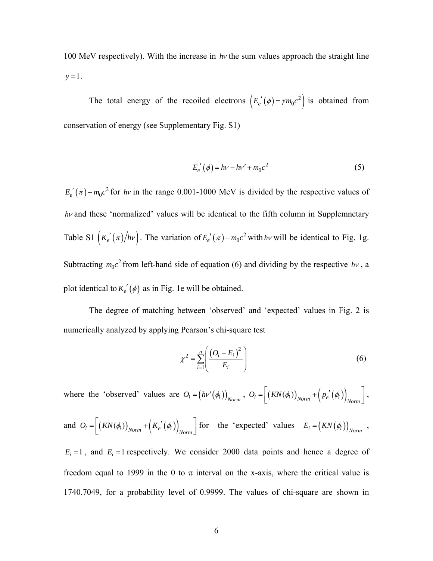100 MeV respectively). With the increase in *h*<sup>ν</sup> the sum values approach the straight line  $y = 1$ .

The total energy of the recoiled electrons  $\left( E_e'(\phi) = \gamma m_0 c^2 \right)$  is obtained from conservation of energy (see Supplementary Fig. S1)

$$
E_e'(\phi) = h\nu - h\nu' + m_0 c^2
$$
 (5)

 $E_e'(\pi) - m_0 c^2$  for *hv* in the range 0.001-1000 MeV is divided by the respective values of *hv* and these 'normalized' values will be identical to the fifth column in Supplemnetary Table S1  $(K_e'(\pi)/h\nu)$ . The variation of  $E_e'(\pi) - m_0 c^2$  with *hv* will be identical to Fig. 1g. Subtracting  $m_0 c^2$  from left-hand side of equation (6) and dividing by the respective  $h\nu$ , a plot identical to  $K_e'(\phi)$  as in Fig. 1e will be obtained.

The degree of matching between 'observed' and 'expected' values in Fig. 2 is numerically analyzed by applying Pearson's chi-square test

$$
\chi^2 = \sum_{i=1}^n \left( \frac{\left( O_i - E_i \right)^2}{E_i} \right) \tag{6}
$$

where the 'observed' values are  $O_i = (h v'(\phi_i))_{Norm}$ ,  $O_i = \left[ (KN(\phi_i))_{Norm} + (p_e'(\phi_i))_{Norm} \right]$ ,

and 
$$
O_i = \left[ \left( KN(\phi_i) \right)_{Norm} + \left( K_e'(\phi_i) \right)_{Norm} \right]
$$
 for the 'expected' values  $E_i = \left( KN(\phi_i) \right)_{Norm}$ ,

 $E_i = 1$ , and  $E_i = 1$  respectively. We consider 2000 data points and hence a degree of freedom equal to 1999 in the 0 to  $\pi$  interval on the x-axis, where the critical value is 1740.7049, for a probability level of 0.9999. The values of chi-square are shown in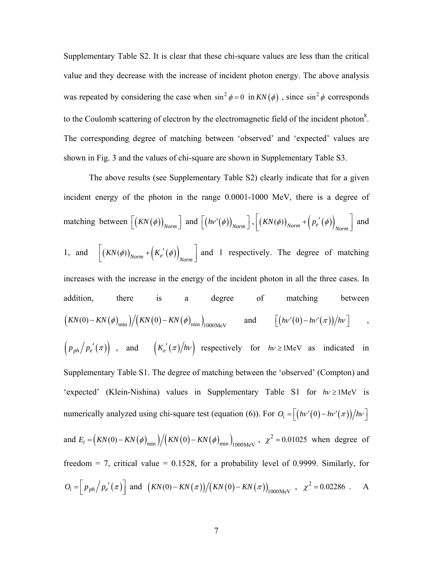Supplementary Table S2. It is clear that these chi-square values are less than the critical value and they decrease with the increase of incident photon energy. The above analysis was repeated by considering the case when  $\sin^2 \phi = 0$  in  $KN(\phi)$ , since  $\sin^2 \phi$  corresponds to the Coulomb scattering of electron by the electromagnetic field of the incident photon<sup>8</sup>. The corresponding degree of matching between 'observed' and 'expected' values are shown in Fig. 3 and the values of chi-square are shown in Supplementary Table S3.

The above results (see Supplementary Table S2) clearly indicate that for a given incident energy of the photon in the range 0.0001-1000 MeV, there is a degree of matching between  $\left[ \left( KN(\phi)\right)_{Norm} \right]$  and  $\left[ \left( hv'(\phi)\right)_{Norm} \right]$ ,  $\left[ \left( KN(\phi)\right)_{Norm} + \left( p_e'(\phi) \right)_{Norm} \right]$  and 1, and  $\left[ \left( KN(\phi)\right)_{Norm} + \left( K_e'(\phi)\right)_{Norm} \right]$  and 1 respectively. The degree of matching increases with the increase in the energy of the incident photon in all the three cases. In addition, there is a degree of matching between  $\left(KN(0)-KN(\phi)_{\min}\right)/\left(KN(0)-KN(\phi)_{\min}\right)_{1000\text{MeV}}$  and  $\left(\left(hv'(0)-h v'(\pi)\right)/h v\right)$ ,  $(p_{ph}/p_e'(\pi))$ , and  $(K_e'(\pi)/hv)$  respectively for  $hv \ge 1$ MeV as indicated in Supplementary Table S1. The degree of matching between the 'observed' (Compton) and 'expected' (Klein-Nishina) values in Supplementary Table S1 for *h*<sup>ν</sup> ≥1MeV is numerically analyzed using chi-square test (equation (6)). For  $O_i = \left[ \left( h v'(0) - h v'(\pi) \right) \right] / h v$ and  $E_i = (KN(0) - KN(\phi)_{\text{min}})/(KN(0) - KN(\phi)_{\text{min}})_{1000\text{MeV}}$ ,  $\chi^2 = 0.01025$  when degree of freedom = 7, critical value =  $0.1528$ , for a probability level of 0.9999. Similarly, for  $O_i = \frac{p_{ph}}{p_e'(x)}$  and  $\frac{K_N(0) - KN(\pi)}{K_N(0) - KN(\pi)} = \frac{KN(\pi)}{1000 \text{MeV}}$ ,  $\chi^2 = 0.02286$ . A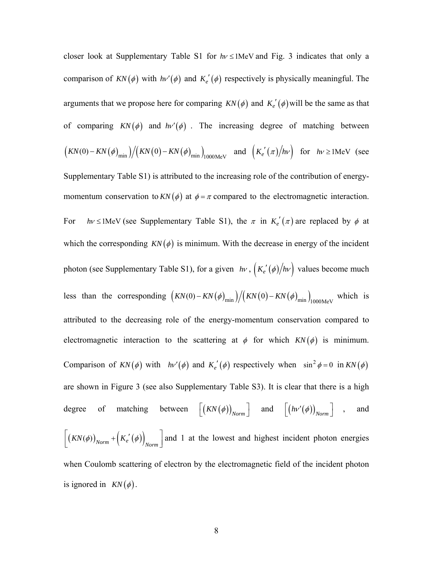closer look at Supplementary Table S1 for  $h\nu \leq 1$ MeV and Fig. 3 indicates that only a comparison of  $KN(\phi)$  with  $h\nu'(\phi)$  and  $K_e'(\phi)$  respectively is physically meaningful. The arguments that we propose here for comparing  $KN(\phi)$  and  $K_e'(\phi)$  will be the same as that of comparing  $KN(\phi)$  and  $h\nu'(\phi)$ . The increasing degree of matching between

$$
\left(KN(0) - KN(\phi)_{\min}\right) / \left(KN(0) - KN(\phi)_{\min}\right)_{1000 \text{MeV}} \quad \text{and} \quad \left(K_e'(\pi)/h\nu\right) \quad \text{for} \quad h\nu \ge 1 \text{MeV} \quad \text{(see}
$$

Supplementary Table S1) is attributed to the increasing role of the contribution of energymomentum conservation to  $KN(\phi)$  at  $\phi = \pi$  compared to the electromagnetic interaction. For *hv* ≤1MeV (see Supplementary Table S1), the  $\pi$  in  $K_e'(\pi)$  are replaced by  $\phi$  at which the corresponding  $KN(\phi)$  is minimum. With the decrease in energy of the incident photon (see Supplementary Table S1), for a given *hv*,  $\left(K_e'(\phi)/h\nu\right)$  values become much less than the corresponding  $\left(KN(0) - KN(\phi)_{min}\right) / \left(KN(0) - KN(\phi)_{min}\right)_{1000\text{MeV}}$  which is attributed to the decreasing role of the energy-momentum conservation compared to electromagnetic interaction to the scattering at  $\phi$  for which  $KN(\phi)$  is minimum. Comparison of  $KN(\phi)$  with  $h\nu'(\phi)$  and  $K_e'(\phi)$  respectively when  $\sin^2 \phi = 0$  in  $KN(\phi)$ are shown in Figure 3 (see also Supplementary Table S3). It is clear that there is a high degree of matching between  $\left[ \left( KN(\phi)\right)_{Norm} \right]$  and  $\left[ \left( hv'(\phi)\right)_{Norm} \right]$  , and  $\left[ \left( KN(\phi)\right)_{Norm} + \left( K_e'(\phi)\right)_{Norm} \right]$  and 1 at the lowest and highest incident photon energies when Coulomb scattering of electron by the electromagnetic field of the incident photon is ignored in  $KN(\phi)$ .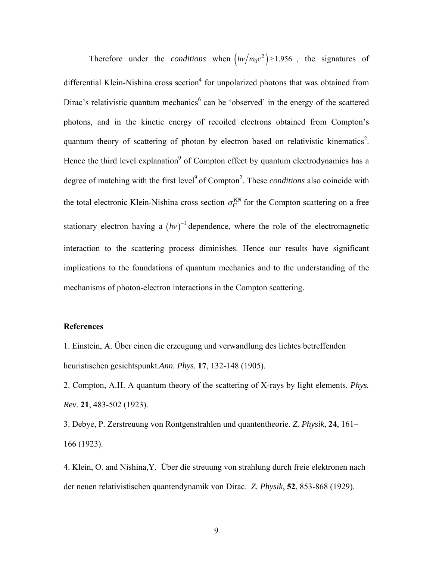Therefore under the *conditions* when  $\left( h\nu / m_0 c^2 \right) \ge 1.956$ , the signatures of differential Klein-Nishina cross section<sup>4</sup> for unpolarized photons that was obtained from Dirac's relativistic quantum mechanics<sup>6</sup> can be 'observed' in the energy of the scattered photons, and in the kinetic energy of recoiled electrons obtained from Compton's quantum theory of scattering of photon by electron based on relativistic kinematics<sup>2</sup>. Hence the third level explanation<sup>9</sup> of Compton effect by quantum electrodynamics has a degree of matching with the first level<sup>9</sup> of Compton<sup>2</sup>. These *conditions* also coincide with the total electronic Klein-Nishina cross section  $\sigma_C^{KN}$  for the Compton scattering on a free stationary electron having a  $(hv)^{-1}$  dependence, where the role of the electromagnetic interaction to the scattering process diminishes. Hence our results have significant implications to the foundations of quantum mechanics and to the understanding of the mechanisms of photon-electron interactions in the Compton scattering.

#### **References**

1. Einstein, A. Über einen die erzeugung und verwandlung des lichtes betreffenden heuristischen gesichtspunkt.*Ann. Phys.* **17**, 132-148 (1905).

2. Compton, A.H. A quantum theory of the scattering of X-rays by light elements. *Phys. Rev.* **21**, 483-502 (1923).

3. Debye, P. Zerstreuung von Rontgenstrahlen und quantentheorie. *Z. Physik*, **24**, 161– 166 (1923).

4. Klein, O. and Nishina,Y. Über die streuung von strahlung durch freie elektronen nach der neuen relativistischen quantendynamik von Dirac. *Z. Physik*, **52**, 853-868 (1929).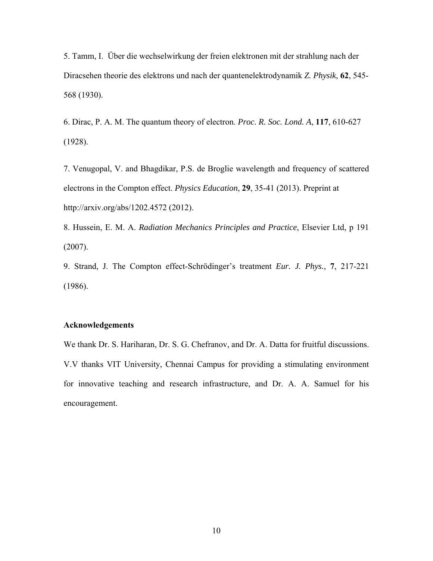5. Tamm, I. Über die wechselwirkung der freien elektronen mit der strahlung nach der Diracsehen theorie des elektrons und nach der quantenelektrodynamik *Z. Physik*, **62**, 545- 568 (1930).

6. Dirac, P. A. M. The quantum theory of electron. *Proc. R. Soc. Lond. A*, **117**, 610-627 (1928).

7. Venugopal, V. and Bhagdikar, P.S. de Broglie wavelength and frequency of scattered electrons in the Compton effect. *Physics Education*, **29**, 35-41 (2013). Preprint at http://arxiv.org/abs/1202.4572 (2012).

8. Hussein, E. M. A. *Radiation Mechanics Principles and Practice*, Elsevier Ltd, p 191 (2007).

9. Strand, J. The Compton effect-Schrödinger's treatment *Eur. J. Phys.*, **7**, 217-221 (1986).

#### **Acknowledgements**

We thank Dr. S. Hariharan, Dr. S. G. Chefranov, and Dr. A. Datta for fruitful discussions. V.V thanks VIT University, Chennai Campus for providing a stimulating environment for innovative teaching and research infrastructure, and Dr. A. A. Samuel for his encouragement.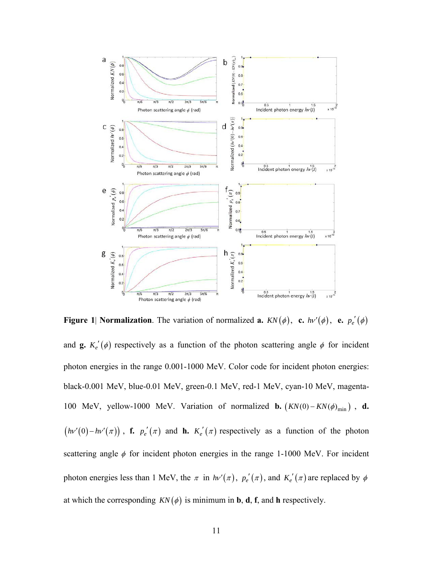

**Figure 1** Normalization. The variation of normalized **a.**  $KN(\phi)$ , **c.**  $h\nu'(\phi)$ , **e.**  $p_e'(\phi)$ and **g.**  $K_e'(\phi)$  respectively as a function of the photon scattering angle  $\phi$  for incident photon energies in the range 0.001-1000 MeV. Color code for incident photon energies: black-0.001 MeV, blue-0.01 MeV, green-0.1 MeV, red-1 MeV, cyan-10 MeV, magenta-100 MeV, yellow-1000 MeV. Variation of normalized **b.**  $(KN(0) - KN(\phi)_{\text{min}})$ , **d.**  $(hv'(0) - hv'(\pi))$ , **f.**  $p_e'(\pi)$  and **h.**  $K_e'(\pi)$  respectively as a function of the photon scattering angle  $\phi$  for incident photon energies in the range 1-1000 MeV. For incident photon energies less than 1 MeV, the  $\pi$  in  $h\nu'(\pi)$ ,  $p_e'(\pi)$ , and  $K_e'(\pi)$  are replaced by  $\phi$ at which the corresponding  $KN(\phi)$  is minimum in **b**, **d**, **f**, and **h** respectively.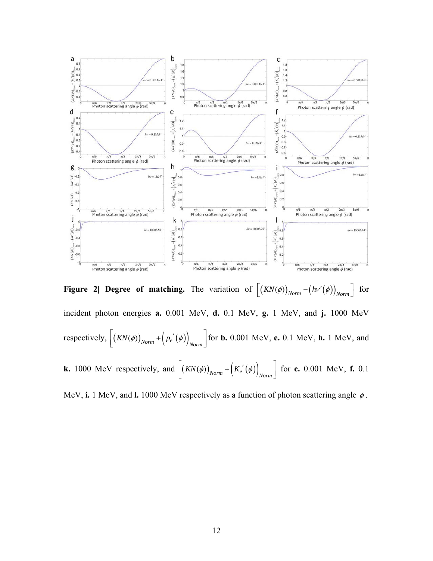

**Figure 2| Degree of matching.** The variation of  $\left[ (KN(\phi))_{Norm} - (h\nu'(\phi))_{Norm} \right]$  for incident photon energies **a.** 0.001 MeV, **d.** 0.1 MeV, **g.** 1 MeV, and **j.** 1000 MeV respectively,  $\left[ \left( KN(\phi)\right)_{Norm} + \left( p_e'(\phi) \right)_{Norm} \right]$  for **b.** 0.001 MeV, **e.** 0.1 MeV, **h.** 1 MeV, and **k.** 1000 MeV respectively, and  $\left[ \left( KN(\phi)\right)_{Norm} + \left( K_e'(\phi) \right)_{Norm} \right]$  for **c.** 0.001 MeV, **f.** 0.1

MeV, **i.** 1 MeV, and **l.** 1000 MeV respectively as a function of photon scattering angle φ .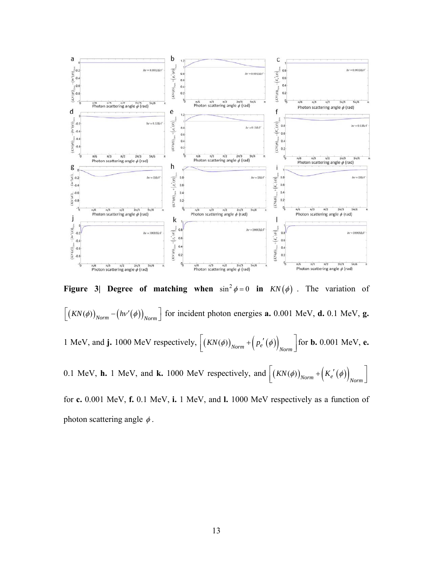

**Figure 3| Degree of matching when**  $\sin^2 \phi = 0$  in  $KN(\phi)$ . The variation of  $\left[ (KN(\phi))_{Norm} - (h\nu'(\phi))_{Norm} \right]$  for incident photon energies **a.** 0.001 MeV, **d.** 0.1 MeV, **g.** 1 MeV, and **j.** 1000 MeV respectively,  $\left[ \left( KN(\phi) \right)_{Norm} + \left( p_e'(\phi) \right)_{Norm} \right]$  for **b.** 0.001 MeV, **e.** 0.1 MeV, **h.** 1 MeV, and **k.** 1000 MeV respectively, and  $\left[ \left( KN(\phi)\right)_{Norm} + \left( K_e'(\phi)\right)_{Norm} \right]$ for **c.** 0.001 MeV, **f.** 0.1 MeV, **i.** 1 MeV, and **l.** 1000 MeV respectively as a function of photon scattering angle  $\phi$ .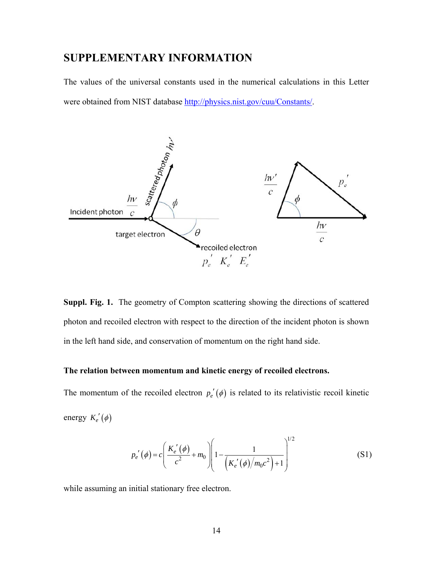## **SUPPLEMENTARY INFORMATION**

The values of the universal constants used in the numerical calculations in this Letter were obtained from NIST database http://physics.nist.gov/cuu/Constants/.



**Suppl. Fig. 1.** The geometry of Compton scattering showing the directions of scattered photon and recoiled electron with respect to the direction of the incident photon is shown in the left hand side, and conservation of momentum on the right hand side.

### **The relation between momentum and kinetic energy of recoiled electrons.**

The momentum of the recoiled electron  $p_e'(\phi)$  is related to its relativistic recoil kinetic energy  $K_e'(\phi)$ 

$$
p_e'(\phi) = c \left( \frac{K_e'(\phi)}{c^2} + m_0 \right) \left( 1 - \frac{1}{\left( K_e'(\phi) / m_0 c^2 \right) + 1} \right)^{1/2}
$$
(S1)

while assuming an initial stationary free electron.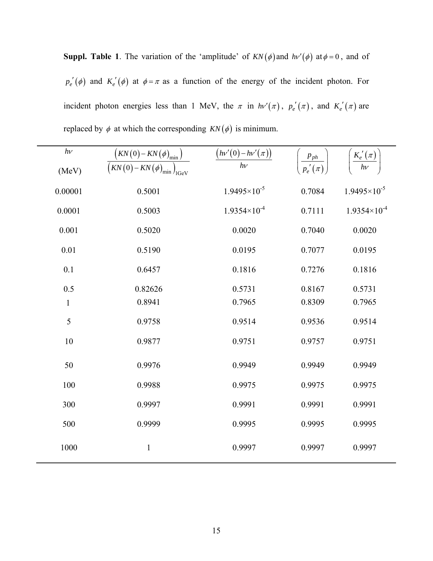**Suppl. Table 1**. The variation of the 'amplitude' of  $KN(\phi)$  and  $h\nu'(\phi)$  at  $\phi = 0$ , and of  $p_e'(\phi)$  and  $K_e'(\phi)$  at  $\phi = \pi$  as a function of the energy of the incident photon. For incident photon energies less than 1 MeV, the  $\pi$  in  $h\nu'(\pi)$ ,  $p'_e(\pi)$ , and  $K'_e(\pi)$  are replaced by  $\phi$  at which the corresponding  $KN(\phi)$  is minimum.

| $h\nu$       | $(KN(0)-KN(\phi)_{\min})$<br>$\frac{1}{(KN(0)-KN(\phi)_{\min})_{\text{IGeV}}}$ | $\left(hv'\left(0\right)-h v'\left(\pi\right)\right)$ | $p_{ph}$<br>$p_e'(\pi)$ | $K'_e(\pi)$<br>$h\nu$ |
|--------------|--------------------------------------------------------------------------------|-------------------------------------------------------|-------------------------|-----------------------|
| (MeV)        |                                                                                |                                                       |                         |                       |
| 0.00001      | 0.5001                                                                         | $1.9495 \times 10^{-5}$                               | 0.7084                  | $1.9495\times10^{-5}$ |
| 0.0001       | 0.5003                                                                         | $1.9354\times10^{-4}$                                 | 0.7111                  | $1.9354\times10^{-4}$ |
| 0.001        | 0.5020                                                                         | 0.0020                                                | 0.7040                  | 0.0020                |
| 0.01         | 0.5190                                                                         | 0.0195                                                | 0.7077                  | 0.0195                |
| 0.1          | 0.6457                                                                         | 0.1816                                                | 0.7276                  | 0.1816                |
| 0.5          | 0.82626                                                                        | 0.5731                                                | 0.8167                  | 0.5731                |
| $\mathbf{1}$ | 0.8941                                                                         | 0.7965                                                | 0.8309                  | 0.7965                |
| 5            | 0.9758                                                                         | 0.9514                                                | 0.9536                  | 0.9514                |
| 10           | 0.9877                                                                         | 0.9751                                                | 0.9757                  | 0.9751                |
| 50           | 0.9976                                                                         | 0.9949                                                | 0.9949                  | 0.9949                |
| 100          | 0.9988                                                                         | 0.9975                                                | 0.9975                  | 0.9975                |
| 300          | 0.9997                                                                         | 0.9991                                                | 0.9991                  | 0.9991                |
| 500          | 0.9999                                                                         | 0.9995                                                | 0.9995                  | 0.9995                |
| 1000         | $\mathbf{1}$                                                                   | 0.9997                                                | 0.9997                  | 0.9997                |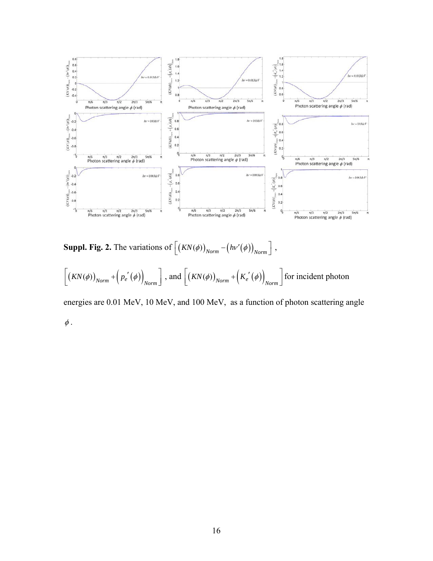

**Suppl. Fig. 2.** The variations of  $\left[ \left( KN(\phi)\right)_{Norm} - \left(hv'(\phi)\right)_{Norm} \right]$ ,  $\left[ \left(KN(\phi)\right)_{Norm} + \left(p_e'(\phi)\right)_{Norm} \right]$ , and  $\left[ \left(KN(\phi)\right)_{Norm} + \left(K_e'(\phi)\right)_{Norm} \right]$  for incident photon

energies are 0.01 MeV, 10 MeV, and 100 MeV, as a function of photon scattering angle  $\phi$ .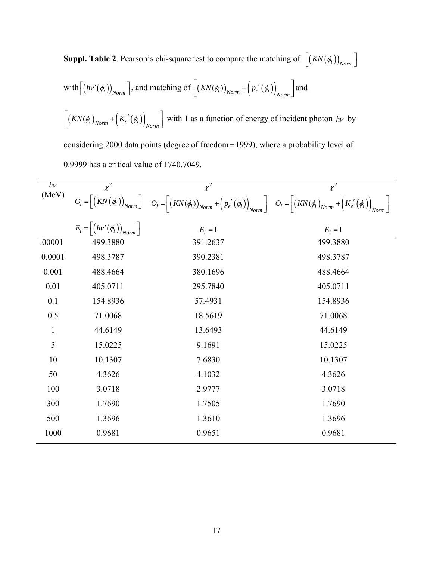**Suppl. Table 2**. Pearson's chi-square test to compare the matching of  $\left[ \left( KN(\phi_i) \right)_{Norm} \right]$  $\text{with}\left[\left(hv'(\phi_i)\right)_{Norm}\right]$ , and matching of  $\left[\left(KN(\phi_i)\right)_{Norm} + \left(p_e'(\phi_i)\right)_{Norm}\right]$  and  $\left[ \left( KN(\phi_i)_{Norm} + \left( K_e'(\phi_i) \right)_{Norm} \right] \right]$  with 1 as a function of energy of incident photon *hv* by considering 2000 data points (degree of freedom= 1999), where a probability level of 0.9999 has a critical value of 1740.7049.

| $h\nu$       | $\chi^2$                                                  | $\chi^2$                                                                                                                                                                                                                                                                                                                        | $\chi^2$  |
|--------------|-----------------------------------------------------------|---------------------------------------------------------------------------------------------------------------------------------------------------------------------------------------------------------------------------------------------------------------------------------------------------------------------------------|-----------|
| (MeV)        |                                                           | $O_i = \left[ \left(KN\left(\phi_i\right)\right)_{Norm} \right] \quad O_i = \left\lceil \left(KN\left(\phi_i\right)\right)_{Norm} + \left(p_e'\left(\phi_i\right)\right)_{Norm} \right\rceil \quad O_i = \left\lceil \left(KN\left(\phi_i\right)_{Norm} + \left(K_e'\left(\phi_i\right)\right)_{Norm}\right\rceil \right\rceil$ |           |
|              | $E_i = \left[ \left( h v'(\phi_i) \right)_{Norm} \right]$ | $E_i = 1$                                                                                                                                                                                                                                                                                                                       | $E_i = 1$ |
| .00001       | 499.3880                                                  | 391.2637                                                                                                                                                                                                                                                                                                                        | 499.3880  |
| 0.0001       | 498.3787                                                  | 390.2381                                                                                                                                                                                                                                                                                                                        | 498.3787  |
| 0.001        | 488.4664                                                  | 380.1696                                                                                                                                                                                                                                                                                                                        | 488.4664  |
| 0.01         | 405.0711                                                  | 295.7840                                                                                                                                                                                                                                                                                                                        | 405.0711  |
| 0.1          | 154.8936                                                  | 57.4931                                                                                                                                                                                                                                                                                                                         | 154.8936  |
| 0.5          | 71.0068                                                   | 18.5619                                                                                                                                                                                                                                                                                                                         | 71.0068   |
| $\mathbf{1}$ | 44.6149                                                   | 13.6493                                                                                                                                                                                                                                                                                                                         | 44.6149   |
| 5            | 15.0225                                                   | 9.1691                                                                                                                                                                                                                                                                                                                          | 15.0225   |
| 10           | 10.1307                                                   | 7.6830                                                                                                                                                                                                                                                                                                                          | 10.1307   |
| 50           | 4.3626                                                    | 4.1032                                                                                                                                                                                                                                                                                                                          | 4.3626    |
| 100          | 3.0718                                                    | 2.9777                                                                                                                                                                                                                                                                                                                          | 3.0718    |
| 300          | 1.7690                                                    | 1.7505                                                                                                                                                                                                                                                                                                                          | 1.7690    |
| 500          | 1.3696                                                    | 1.3610                                                                                                                                                                                                                                                                                                                          | 1.3696    |
| 1000         | 0.9681                                                    | 0.9651                                                                                                                                                                                                                                                                                                                          | 0.9681    |